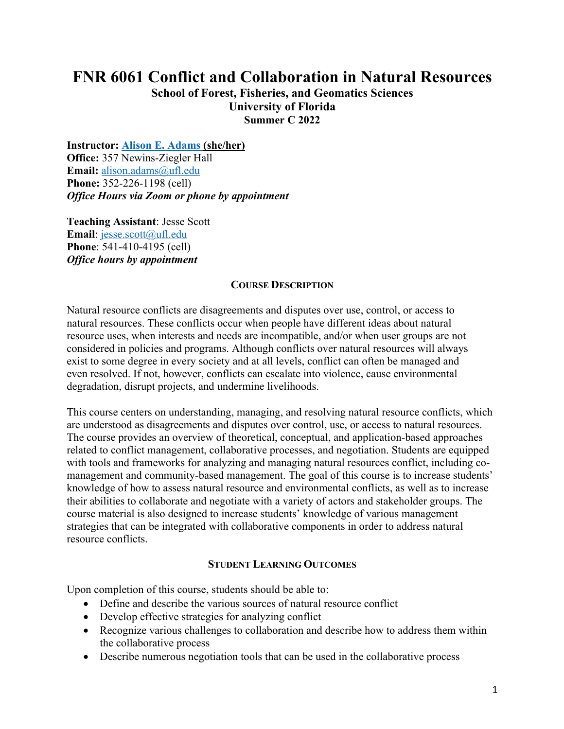# **FNR 6061 Conflict and Collaboration in Natural Resources**

**School of Forest, Fisheries, and Geomatics Sciences University of Florida Summer C 2022**

**Instructor: Alison E. Adams (she/her) Office:** 357 Newins-Ziegler Hall **Email:** alison.adams@ufl.edu **Phone:** 352-226-1198 (cell) *Office Hours via Zoom or phone by appointment*

**Teaching Assistant**: Jesse Scott **Email**: jesse.scott@ufl.edu **Phone**: 541-410-4195 (cell) *Office hours by appointment*

#### **COURSE DESCRIPTION**

Natural resource conflicts are disagreements and disputes over use, control, or access to natural resources. These conflicts occur when people have different ideas about natural resource uses, when interests and needs are incompatible, and/or when user groups are not considered in policies and programs. Although conflicts over natural resources will always exist to some degree in every society and at all levels, conflict can often be managed and even resolved. If not, however, conflicts can escalate into violence, cause environmental degradation, disrupt projects, and undermine livelihoods.

This course centers on understanding, managing, and resolving natural resource conflicts, which are understood as disagreements and disputes over control, use, or access to natural resources. The course provides an overview of theoretical, conceptual, and application-based approaches related to conflict management, collaborative processes, and negotiation. Students are equipped with tools and frameworks for analyzing and managing natural resources conflict, including comanagement and community-based management. The goal of this course is to increase students' knowledge of how to assess natural resource and environmental conflicts, as well as to increase their abilities to collaborate and negotiate with a variety of actors and stakeholder groups. The course material is also designed to increase students' knowledge of various management strategies that can be integrated with collaborative components in order to address natural resource conflicts.

#### **STUDENT LEARNING OUTCOMES**

Upon completion of this course, students should be able to:

- Define and describe the various sources of natural resource conflict
- Develop effective strategies for analyzing conflict
- Recognize various challenges to collaboration and describe how to address them within the collaborative process
- Describe numerous negotiation tools that can be used in the collaborative process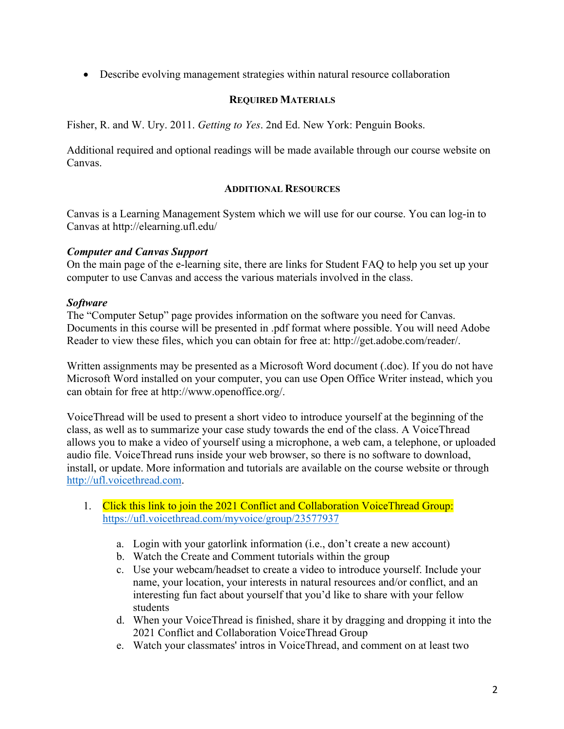• Describe evolving management strategies within natural resource collaboration

## **REQUIRED MATERIALS**

Fisher, R. and W. Ury. 2011. *Getting to Yes*. 2nd Ed. New York: Penguin Books.

Additional required and optional readings will be made available through our course website on Canvas.

#### **ADDITIONAL RESOURCES**

Canvas is a Learning Management System which we will use for our course. You can log-in to Canvas at http://elearning.ufl.edu/

## *Computer and Canvas Support*

On the main page of the e-learning site, there are links for Student FAQ to help you set up your computer to use Canvas and access the various materials involved in the class.

#### *Software*

The "Computer Setup" page provides information on the software you need for Canvas. Documents in this course will be presented in .pdf format where possible. You will need Adobe Reader to view these files, which you can obtain for free at: http://get.adobe.com/reader/.

Written assignments may be presented as a Microsoft Word document (.doc). If you do not have Microsoft Word installed on your computer, you can use Open Office Writer instead, which you can obtain for free at http://www.openoffice.org/.

VoiceThread will be used to present a short video to introduce yourself at the beginning of the class, as well as to summarize your case study towards the end of the class. A VoiceThread allows you to make a video of yourself using a microphone, a web cam, a telephone, or uploaded audio file. VoiceThread runs inside your web browser, so there is no software to download, install, or update. More information and tutorials are available on the course website or through http://ufl.voicethread.com.

- 1. Click this link to join the 2021 Conflict and Collaboration VoiceThread Group: https://ufl.voicethread.com/myvoice/group/23577937
	- a. Login with your gatorlink information (i.e., don't create a new account)
	- b. Watch the Create and Comment tutorials within the group
	- c. Use your webcam/headset to create a video to introduce yourself. Include your name, your location, your interests in natural resources and/or conflict, and an interesting fun fact about yourself that you'd like to share with your fellow students
	- d. When your VoiceThread is finished, share it by dragging and dropping it into the 2021 Conflict and Collaboration VoiceThread Group
	- e. Watch your classmates' intros in VoiceThread, and comment on at least two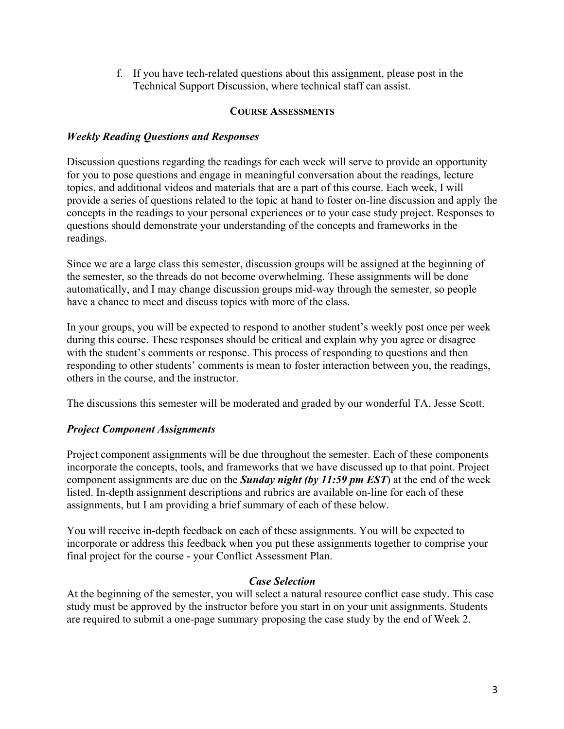f. If you have tech-related questions about this assignment, please post in the Technical Support Discussion, where technical staff can assist.

#### **COURSE ASSESSMENTS**

## *Weekly Reading Questions and Responses*

Discussion questions regarding the readings for each week will serve to provide an opportunity for you to pose questions and engage in meaningful conversation about the readings, lecture topics, and additional videos and materials that are a part of this course. Each week, I will provide a series of questions related to the topic at hand to foster on-line discussion and apply the concepts in the readings to your personal experiences or to your case study project. Responses to questions should demonstrate your understanding of the concepts and frameworks in the readings.

Since we are a large class this semester, discussion groups will be assigned at the beginning of the semester, so the threads do not become overwhelming. These assignments will be done automatically, and I may change discussion groups mid-way through the semester, so people have a chance to meet and discuss topics with more of the class.

In your groups, you will be expected to respond to another student's weekly post once per week during this course. These responses should be critical and explain why you agree or disagree with the student's comments or response. This process of responding to questions and then responding to other students' comments is mean to foster interaction between you, the readings, others in the course, and the instructor.

The discussions this semester will be moderated and graded by our wonderful TA, Jesse Scott.

## *Project Component Assignments*

Project component assignments will be due throughout the semester. Each of these components incorporate the concepts, tools, and frameworks that we have discussed up to that point. Project component assignments are due on the *Sunday night (by 11:59 pm EST*) at the end of the week listed. In-depth assignment descriptions and rubrics are available on-line for each of these assignments, but I am providing a brief summary of each of these below.

You will receive in-depth feedback on each of these assignments. You will be expected to incorporate or address this feedback when you put these assignments together to comprise your final project for the course - your Conflict Assessment Plan.

## *Case Selection*

At the beginning of the semester, you will select a natural resource conflict case study. This case study must be approved by the instructor before you start in on your unit assignments. Students are required to submit a one-page summary proposing the case study by the end of Week 2.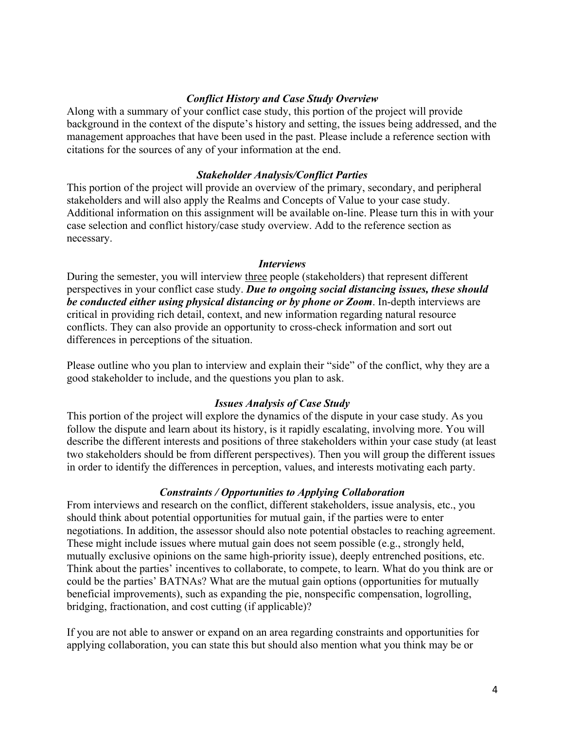#### *Conflict History and Case Study Overview*

Along with a summary of your conflict case study, this portion of the project will provide background in the context of the dispute's history and setting, the issues being addressed, and the management approaches that have been used in the past. Please include a reference section with citations for the sources of any of your information at the end.

#### *Stakeholder Analysis/Conflict Parties*

This portion of the project will provide an overview of the primary, secondary, and peripheral stakeholders and will also apply the Realms and Concepts of Value to your case study. Additional information on this assignment will be available on-line. Please turn this in with your case selection and conflict history/case study overview. Add to the reference section as necessary.

#### *Interviews*

During the semester, you will interview three people (stakeholders) that represent different perspectives in your conflict case study. *Due to ongoing social distancing issues, these should be conducted either using physical distancing or by phone or Zoom*. In-depth interviews are critical in providing rich detail, context, and new information regarding natural resource conflicts. They can also provide an opportunity to cross-check information and sort out differences in perceptions of the situation.

Please outline who you plan to interview and explain their "side" of the conflict, why they are a good stakeholder to include, and the questions you plan to ask.

#### *Issues Analysis of Case Study*

This portion of the project will explore the dynamics of the dispute in your case study. As you follow the dispute and learn about its history, is it rapidly escalating, involving more. You will describe the different interests and positions of three stakeholders within your case study (at least two stakeholders should be from different perspectives). Then you will group the different issues in order to identify the differences in perception, values, and interests motivating each party.

#### *Constraints / Opportunities to Applying Collaboration*

From interviews and research on the conflict, different stakeholders, issue analysis, etc., you should think about potential opportunities for mutual gain, if the parties were to enter negotiations. In addition, the assessor should also note potential obstacles to reaching agreement. These might include issues where mutual gain does not seem possible (e.g., strongly held, mutually exclusive opinions on the same high-priority issue), deeply entrenched positions, etc. Think about the parties' incentives to collaborate, to compete, to learn. What do you think are or could be the parties' BATNAs? What are the mutual gain options (opportunities for mutually beneficial improvements), such as expanding the pie, nonspecific compensation, logrolling, bridging, fractionation, and cost cutting (if applicable)?

If you are not able to answer or expand on an area regarding constraints and opportunities for applying collaboration, you can state this but should also mention what you think may be or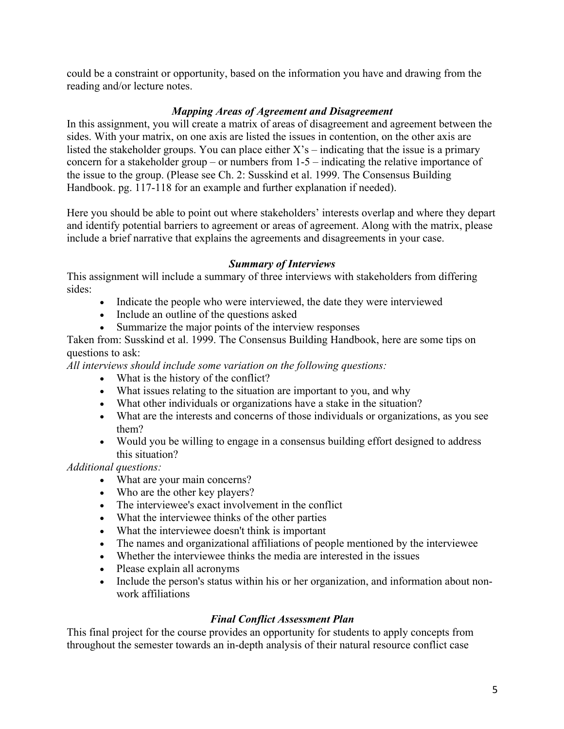could be a constraint or opportunity, based on the information you have and drawing from the reading and/or lecture notes.

## *Mapping Areas of Agreement and Disagreement*

In this assignment, you will create a matrix of areas of disagreement and agreement between the sides. With your matrix, on one axis are listed the issues in contention, on the other axis are listed the stakeholder groups. You can place either  $X$ 's – indicating that the issue is a primary concern for a stakeholder group – or numbers from 1-5 – indicating the relative importance of the issue to the group. (Please see Ch. 2: Susskind et al. 1999. The Consensus Building Handbook. pg. 117-118 for an example and further explanation if needed).

Here you should be able to point out where stakeholders' interests overlap and where they depart and identify potential barriers to agreement or areas of agreement. Along with the matrix, please include a brief narrative that explains the agreements and disagreements in your case.

## *Summary of Interviews*

This assignment will include a summary of three interviews with stakeholders from differing sides:

- Indicate the people who were interviewed, the date they were interviewed
- Include an outline of the questions asked
- Summarize the major points of the interview responses

Taken from: Susskind et al. 1999. The Consensus Building Handbook, here are some tips on questions to ask:

*All interviews should include some variation on the following questions:*

- What is the history of the conflict?
- What issues relating to the situation are important to you, and why
- What other individuals or organizations have a stake in the situation?
- What are the interests and concerns of those individuals or organizations, as you see them?
- Would you be willing to engage in a consensus building effort designed to address this situation?

*Additional questions:*

- What are your main concerns?
- Who are the other key players?
- The interviewee's exact involvement in the conflict
- What the interviewee thinks of the other parties
- What the interviewee doesn't think is important
- The names and organizational affiliations of people mentioned by the interviewee
- Whether the interviewee thinks the media are interested in the issues
- Please explain all acronyms
- Include the person's status within his or her organization, and information about nonwork affiliations

## *Final Conflict Assessment Plan*

This final project for the course provides an opportunity for students to apply concepts from throughout the semester towards an in-depth analysis of their natural resource conflict case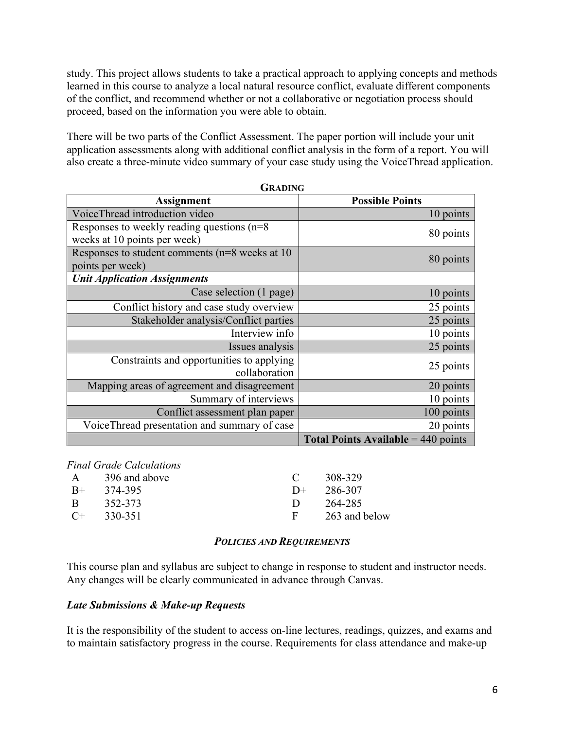study. This project allows students to take a practical approach to applying concepts and methods learned in this course to analyze a local natural resource conflict, evaluate different components of the conflict, and recommend whether or not a collaborative or negotiation process should proceed, based on the information you were able to obtain.

There will be two parts of the Conflict Assessment. The paper portion will include your unit application assessments along with additional conflict analysis in the form of a report. You will also create a three-minute video summary of your case study using the VoiceThread application.

| <b>GRADING</b>                                                                  |                                              |  |  |
|---------------------------------------------------------------------------------|----------------------------------------------|--|--|
| <b>Assignment</b>                                                               | <b>Possible Points</b>                       |  |  |
| VoiceThread introduction video                                                  | 10 points                                    |  |  |
| Responses to weekly reading questions ( $n=8$ )<br>weeks at 10 points per week) | 80 points                                    |  |  |
| Responses to student comments ( $n=8$ weeks at 10<br>points per week)           | 80 points                                    |  |  |
| <b>Unit Application Assignments</b>                                             |                                              |  |  |
| Case selection (1 page)                                                         | 10 points                                    |  |  |
| Conflict history and case study overview                                        | 25 points                                    |  |  |
| Stakeholder analysis/Conflict parties                                           | 25 points                                    |  |  |
| Interview info                                                                  | 10 points                                    |  |  |
| Issues analysis                                                                 | 25 points                                    |  |  |
| Constraints and opportunities to applying<br>collaboration                      | 25 points                                    |  |  |
| Mapping areas of agreement and disagreement                                     | 20 points                                    |  |  |
| Summary of interviews                                                           | 10 points                                    |  |  |
| Conflict assessment plan paper                                                  | 100 points                                   |  |  |
| VoiceThread presentation and summary of case                                    | 20 points                                    |  |  |
|                                                                                 | <b>Total Points Available</b> = $440$ points |  |  |

*Final Grade Calculations*

| $\mathsf{A}$ | 396 and above |      | 308-329       |
|--------------|---------------|------|---------------|
| $B+$         | 374-395       | $D+$ | 286-307       |
| -R           | 352-373       |      | 264-285       |
| $C+$         | 330-351       | F.   | 263 and below |
|              |               |      |               |

#### *POLICIES AND REQUIREMENTS*

This course plan and syllabus are subject to change in response to student and instructor needs. Any changes will be clearly communicated in advance through Canvas.

## *Late Submissions & Make-up Requests*

It is the responsibility of the student to access on-line lectures, readings, quizzes, and exams and to maintain satisfactory progress in the course. Requirements for class attendance and make-up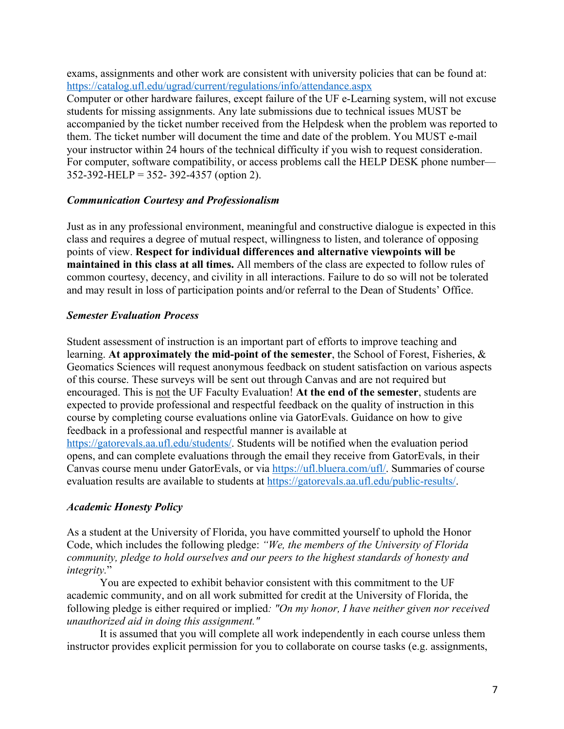exams, assignments and other work are consistent with university policies that can be found at: https://catalog.ufl.edu/ugrad/current/regulations/info/attendance.aspx Computer or other hardware failures, except failure of the UF e-Learning system, will not excuse students for missing assignments. Any late submissions due to technical issues MUST be accompanied by the ticket number received from the Helpdesk when the problem was reported to them. The ticket number will document the time and date of the problem. You MUST e-mail your instructor within 24 hours of the technical difficulty if you wish to request consideration. For computer, software compatibility, or access problems call the HELP DESK phone number— 352-392-HELP = 352- 392-4357 (option 2).

#### *Communication Courtesy and Professionalism*

Just as in any professional environment, meaningful and constructive dialogue is expected in this class and requires a degree of mutual respect, willingness to listen, and tolerance of opposing points of view. **Respect for individual differences and alternative viewpoints will be maintained in this class at all times.** All members of the class are expected to follow rules of common courtesy, decency, and civility in all interactions. Failure to do so will not be tolerated and may result in loss of participation points and/or referral to the Dean of Students' Office.

#### *Semester Evaluation Process*

Student assessment of instruction is an important part of efforts to improve teaching and learning. **At approximately the mid-point of the semester**, the School of Forest, Fisheries, & Geomatics Sciences will request anonymous feedback on student satisfaction on various aspects of this course. These surveys will be sent out through Canvas and are not required but encouraged. This is not the UF Faculty Evaluation! **At the end of the semester**, students are expected to provide professional and respectful feedback on the quality of instruction in this course by completing course evaluations online via GatorEvals. Guidance on how to give feedback in a professional and respectful manner is available at https://gatorevals.aa.ufl.edu/students/. Students will be notified when the evaluation period opens, and can complete evaluations through the email they receive from GatorEvals, in their Canvas course menu under GatorEvals, or via https://ufl.bluera.com/ufl/. Summaries of course evaluation results are available to students at https://gatorevals.aa.ufl.edu/public-results/.

#### *Academic Honesty Policy*

As a student at the University of Florida, you have committed yourself to uphold the Honor Code, which includes the following pledge: *"We, the members of the University of Florida community, pledge to hold ourselves and our peers to the highest standards of honesty and integrity.*"

You are expected to exhibit behavior consistent with this commitment to the UF academic community, and on all work submitted for credit at the University of Florida, the following pledge is either required or implied*: "On my honor, I have neither given nor received unauthorized aid in doing this assignment."*

It is assumed that you will complete all work independently in each course unless them instructor provides explicit permission for you to collaborate on course tasks (e.g. assignments,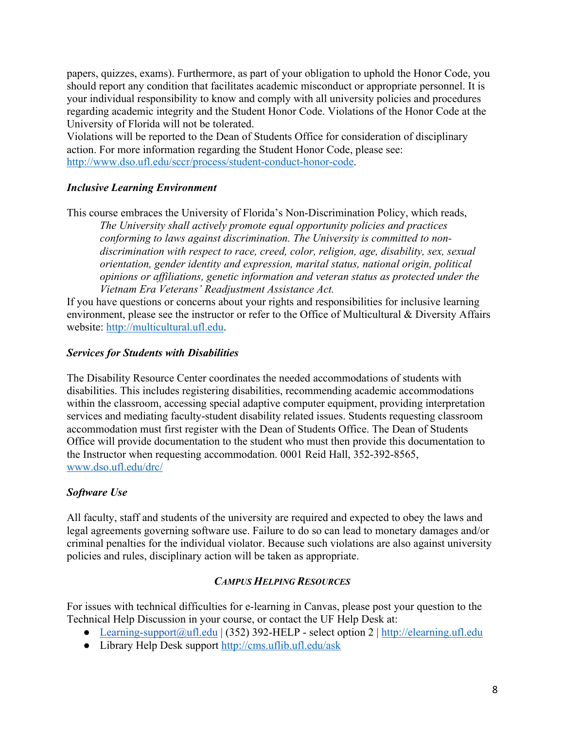papers, quizzes, exams). Furthermore, as part of your obligation to uphold the Honor Code, you should report any condition that facilitates academic misconduct or appropriate personnel. It is your individual responsibility to know and comply with all university policies and procedures regarding academic integrity and the Student Honor Code. Violations of the Honor Code at the University of Florida will not be tolerated.

Violations will be reported to the Dean of Students Office for consideration of disciplinary action. For more information regarding the Student Honor Code, please see: http://www.dso.ufl.edu/sccr/process/student-conduct-honor-code.

## *Inclusive Learning Environment*

This course embraces the University of Florida's Non-Discrimination Policy, which reads, *The University shall actively promote equal opportunity policies and practices conforming to laws against discrimination. The University is committed to nondiscrimination with respect to race, creed, color, religion, age, disability, sex, sexual orientation, gender identity and expression, marital status, national origin, political opinions or affiliations, genetic information and veteran status as protected under the Vietnam Era Veterans' Readjustment Assistance Act.*

If you have questions or concerns about your rights and responsibilities for inclusive learning environment, please see the instructor or refer to the Office of Multicultural & Diversity Affairs website: http://multicultural.ufl.edu.

## *Services for Students with Disabilities*

The Disability Resource Center coordinates the needed accommodations of students with disabilities. This includes registering disabilities, recommending academic accommodations within the classroom, accessing special adaptive computer equipment, providing interpretation services and mediating faculty-student disability related issues. Students requesting classroom accommodation must first register with the Dean of Students Office. The Dean of Students Office will provide documentation to the student who must then provide this documentation to the Instructor when requesting accommodation. 0001 Reid Hall, 352-392-8565, www.dso.ufl.edu/drc/

## *Software Use*

All faculty, staff and students of the university are required and expected to obey the laws and legal agreements governing software use. Failure to do so can lead to monetary damages and/or criminal penalties for the individual violator. Because such violations are also against university policies and rules, disciplinary action will be taken as appropriate.

## *CAMPUS HELPING RESOURCES*

For issues with technical difficulties for e-learning in Canvas, please post your question to the Technical Help Discussion in your course, or contact the UF Help Desk at:

- Learning-support@ufl.edu | (352) 392-HELP select option 2 | http://elearning.ufl.edu
- Library Help Desk support http://cms.uflib.ufl.edu/ask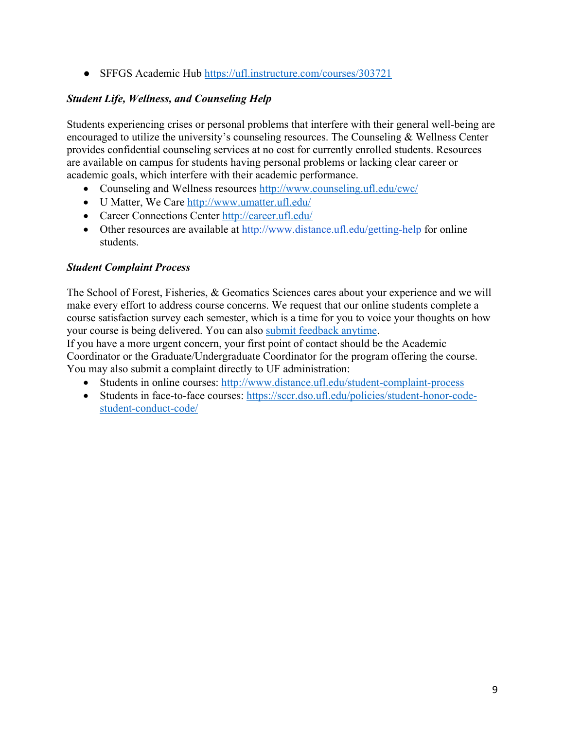• SFFGS Academic Hub https://ufl.instructure.com/courses/303721

## *Student Life, Wellness, and Counseling Help*

Students experiencing crises or personal problems that interfere with their general well-being are encouraged to utilize the university's counseling resources. The Counseling & Wellness Center provides confidential counseling services at no cost for currently enrolled students. Resources are available on campus for students having personal problems or lacking clear career or academic goals, which interfere with their academic performance.

- Counseling and Wellness resources http://www.counseling.ufl.edu/cwc/
- U Matter, We Care http://www.umatter.ufl.edu/
- Career Connections Center http://career.ufl.edu/
- Other resources are available at http://www.distance.ufl.edu/getting-help for online students.

## *Student Complaint Process*

The School of Forest, Fisheries, & Geomatics Sciences cares about your experience and we will make every effort to address course concerns. We request that our online students complete a course satisfaction survey each semester, which is a time for you to voice your thoughts on how your course is being delivered. You can also submit feedback anytime.

If you have a more urgent concern, your first point of contact should be the Academic Coordinator or the Graduate/Undergraduate Coordinator for the program offering the course. You may also submit a complaint directly to UF administration:

- Students in online courses: http://www.distance.ufl.edu/student-complaint-process
- Students in face-to-face courses: https://sccr.dso.ufl.edu/policies/student-honor-codestudent-conduct-code/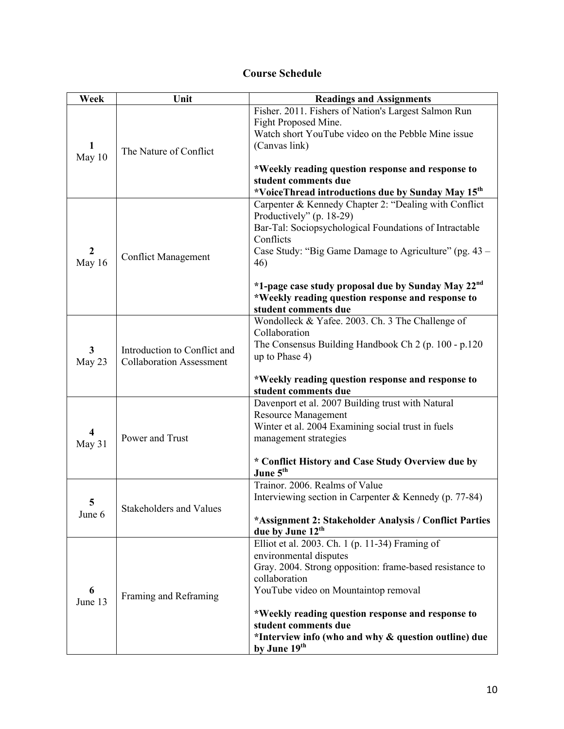## **Course Schedule**

| Week                              | Unit                                                            | <b>Readings and Assignments</b>                                                                                                                                                                                                                                                                                                                                          |
|-----------------------------------|-----------------------------------------------------------------|--------------------------------------------------------------------------------------------------------------------------------------------------------------------------------------------------------------------------------------------------------------------------------------------------------------------------------------------------------------------------|
| 1<br>May 10                       | The Nature of Conflict                                          | Fisher. 2011. Fishers of Nation's Largest Salmon Run<br>Fight Proposed Mine.<br>Watch short YouTube video on the Pebble Mine issue<br>(Canvas link)<br>*Weekly reading question response and response to<br>student comments due<br>*VoiceThread introductions due by Sunday May 15 <sup>th</sup>                                                                        |
| $\mathbf{2}$<br>May 16            | <b>Conflict Management</b>                                      | Carpenter & Kennedy Chapter 2: "Dealing with Conflict<br>Productively" (p. 18-29)<br>Bar-Tal: Sociopsychological Foundations of Intractable<br>Conflicts<br>Case Study: "Big Game Damage to Agriculture" (pg. 43 –<br>46)<br>*1-page case study proposal due by Sunday May 22 <sup>nd</sup><br>*Weekly reading question response and response to<br>student comments due |
| $\mathbf{3}$<br>May 23            | Introduction to Conflict and<br><b>Collaboration Assessment</b> | Wondolleck & Yafee. 2003. Ch. 3 The Challenge of<br>Collaboration<br>The Consensus Building Handbook Ch 2 (p. 100 - p.120)<br>up to Phase 4)<br>*Weekly reading question response and response to<br>student comments due                                                                                                                                                |
| $\overline{\mathbf{4}}$<br>May 31 | Power and Trust                                                 | Davenport et al. 2007 Building trust with Natural<br>Resource Management<br>Winter et al. 2004 Examining social trust in fuels<br>management strategies<br>* Conflict History and Case Study Overview due by<br>June 5 <sup>th</sup>                                                                                                                                     |
| 5<br>June 6                       | Stakeholders and Values                                         | Trainor. 2006. Realms of Value<br>Interviewing section in Carpenter & Kennedy (p. 77-84)<br>*Assignment 2: Stakeholder Analysis / Conflict Parties<br>due by June 12 <sup>th</sup>                                                                                                                                                                                       |
| 6<br>June 13                      | Framing and Reframing                                           | Elliot et al. 2003. Ch. 1 (p. 11-34) Framing of<br>environmental disputes<br>Gray. 2004. Strong opposition: frame-based resistance to<br>collaboration<br>YouTube video on Mountaintop removal<br>*Weekly reading question response and response to<br>student comments due<br>*Interview info (who and why & question outline) due<br>by June 19 <sup>th</sup>          |